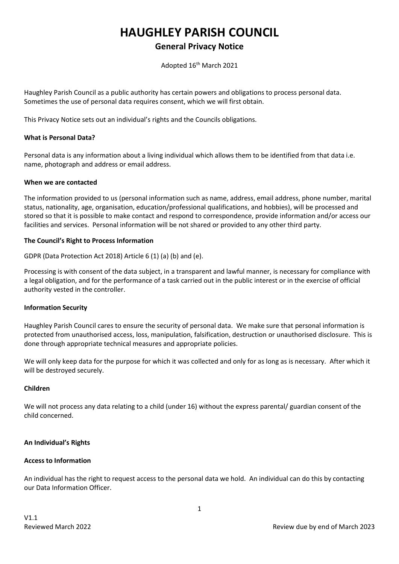# **HAUGHLEY PARISH COUNCIL**

# **General Privacy Notice**

Adopted 16th March 2021

Haughley Parish Council as a public authority has certain powers and obligations to process personal data. Sometimes the use of personal data requires consent, which we will first obtain.

This Privacy Notice sets out an individual's rights and the Councils obligations.

# **What is Personal Data?**

Personal data is any information about a living individual which allows them to be identified from that data i.e. name, photograph and address or email address.

#### **When we are contacted**

The information provided to us (personal information such as name, address, email address, phone number, marital status, nationality, age, organisation, education/professional qualifications, and hobbies), will be processed and stored so that it is possible to make contact and respond to correspondence, provide information and/or access our facilities and services. Personal information will be not shared or provided to any other third party.

# **The Council's Right to Process Information**

GDPR (Data Protection Act 2018) Article 6 (1) (a) (b) and (e).

Processing is with consent of the data subject, in a transparent and lawful manner, is necessary for compliance with a legal obligation, and for the performance of a task carried out in the public interest or in the exercise of official authority vested in the controller.

#### **Information Security**

Haughley Parish Council cares to ensure the security of personal data. We make sure that personal information is protected from unauthorised access, loss, manipulation, falsification, destruction or unauthorised disclosure. This is done through appropriate technical measures and appropriate policies.

We will only keep data for the purpose for which it was collected and only for as long as is necessary. After which it will be destroyed securely.

#### **Children**

We will not process any data relating to a child (under 16) without the express parental/ guardian consent of the child concerned.

# **An Individual's Rights**

#### **Access to Information**

An individual has the right to request access to the personal data we hold. An individual can do this by contacting our Data Information Officer.